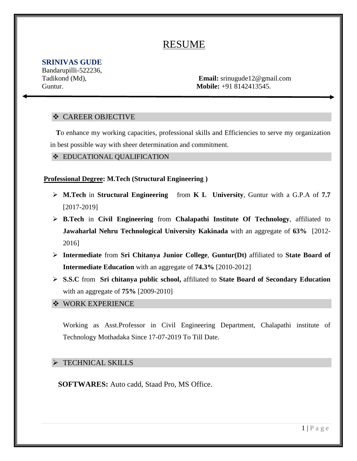# RESUME

# **SRINIVAS GUDE**

Bandarupilli-522236,

Tadikond (Md), **Email:** srinugude12@gmail.com Guntur. **Mobile:** +91 8142413545.

# **❖ CAREER OBJECTIVE**

 **T**o enhance my working capacities, professional skills and Efficiencies to serve my organization in best possible way with sheer determination and commitment.

#### **EDUCATIONAL QUALIFICATION**

#### **Professional Degree: M.Tech (Structural Engineering )**

- **M.Tech** in **Structural Engineering** from **K L University**, Guntur with a G.P.A of **7.7** [2017-2019]
- **B.Tech** in **Civil Engineering** from **Chalapathi Institute Of Technology**, affiliated to **Jawaharlal Nehru Technological University Kakinada** with an aggregate of **63%** [2012- 2016]
- **Intermediate** from **Sri Chitanya Junior College**, **Guntur(Dt)** affiliated to **State Board of Intermediate Education** with an aggregate of **74.3%** [2010-2012]
- **S.S.C** from **Sri chitanya public school,** affiliated to **State Board of Secondary Education** with an aggregate of **75%** [2009-2010]

#### **❖ WORK EXPERIENCE**

Working as Asst.Professor in Civil Engineering Department, Chalapathi institute of Technology Mothadaka Since 17-07-2019 To Till Date.

## $\triangleright$  TECHNICAL SKILLS

**SOFTWARES:** Auto cadd, Staad Pro, MS Office.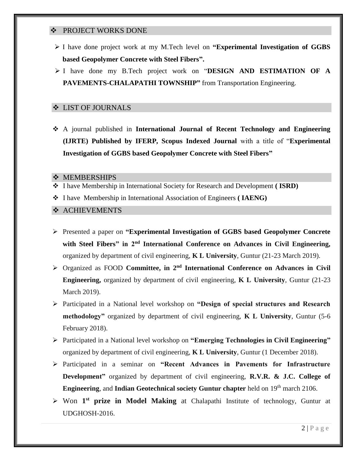#### **❖ PROJECT WORKS DONE**

- I have done project work at my M.Tech level on **"Experimental Investigation of GGBS based Geopolymer Concrete with Steel Fibers".**
- I have done my B.Tech project work on "**DESIGN AND ESTIMATION OF A PAVEMENTS-CHALAPATHI TOWNSHIP"** from Transportation Engineering.

#### LIST OF JOURNALS

 A journal published in **International Journal of Recent Technology and Engineering (IJRTE) Published by IFERP, Scopus Indexed Journal** with a title of "**Experimental Investigation of GGBS based Geopolymer Concrete with Steel Fibers"**

#### **MEMBERSHIPS**

- I have Membership in International Society for Research and Development **( ISRD)**
- I have Membership in International Association of Engineers **( IAENG)**

# **\*** ACHIEVEMENTS

- Presented a paper on **"Experimental Investigation of GGBS based Geopolymer Concrete with Steel Fibers" in 2nd International Conference on Advances in Civil Engineering,** organized by department of civil engineering, **K L University**, Guntur (21-23 March 2019).
- Organized as FOOD **Committee, in 2nd International Conference on Advances in Civil Engineering,** organized by department of civil engineering, **K L University**, Guntur (21-23 March 2019).
- Participated in a National level workshop on **"Design of special structures and Research methodology"** organized by department of civil engineering, **K L University**, Guntur (5-6 February 2018).
- Participated in a National level workshop on **"Emerging Technologies in Civil Engineering"** organized by department of civil engineering, **K L University**, Guntur (1 December 2018).
- Participated in a seminar on **"Recent Advances in Pavements for Infrastructure Development"** organized by department of civil engineering, **R.V.R. & J.C. College of Engineering**, and **Indian Geotechnical society Guntur chapter** held on 19<sup>th</sup> march 2106.
- > Won 1<sup>st</sup> prize in Model Making at Chalapathi Institute of technology, Guntur at UDGHOSH-2016.